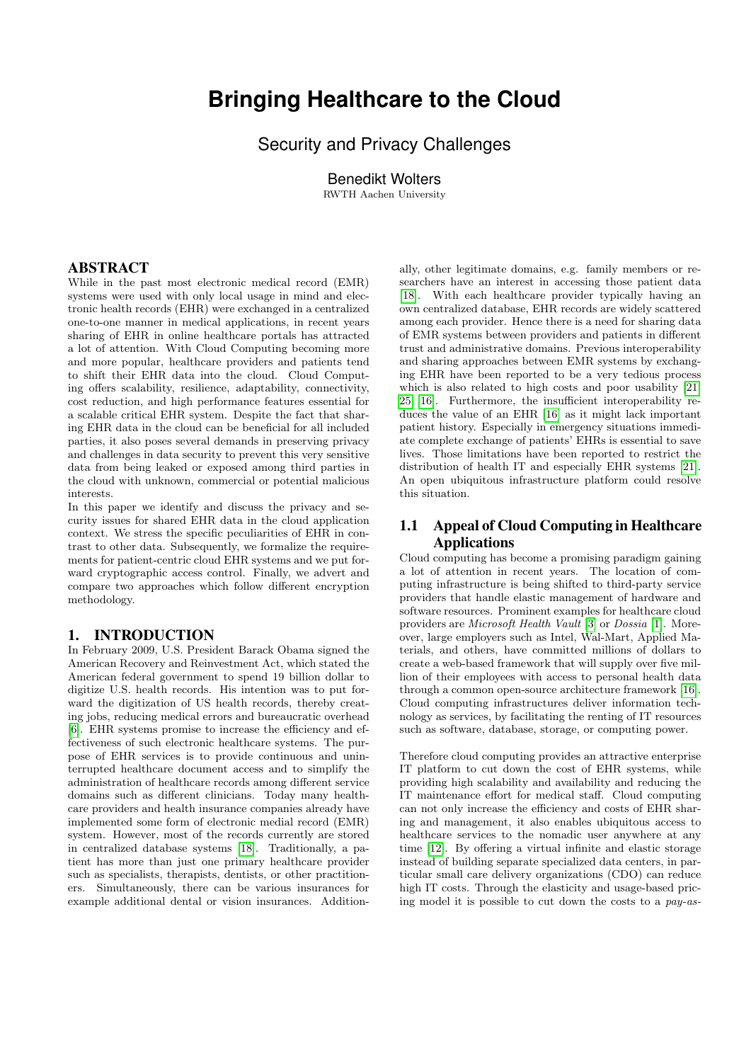# **Bringing Healthcare to the Cloud**

Security and Privacy Challenges

Benedikt Wolters

RWTH Aachen University

### ABSTRACT

While in the past most electronic medical record (EMR) systems were used with only local usage in mind and electronic health records (EHR) were exchanged in a centralized one-to-one manner in medical applications, in recent years sharing of EHR in online healthcare portals has attracted a lot of attention. With Cloud Computing becoming more and more popular, healthcare providers and patients tend to shift their EHR data into the cloud. Cloud Computing offers scalability, resilience, adaptability, connectivity, cost reduction, and high performance features essential for a scalable critical EHR system. Despite the fact that sharing EHR data in the cloud can be beneficial for all included parties, it also poses several demands in preserving privacy and challenges in data security to prevent this very sensitive data from being leaked or exposed among third parties in the cloud with unknown, commercial or potential malicious interests.

In this paper we identify and discuss the privacy and security issues for shared EHR data in the cloud application context. We stress the specific peculiarities of EHR in contrast to other data. Subsequently, we formalize the requirements for patient-centric cloud EHR systems and we put forward cryptographic access control. Finally, we advert and compare two approaches which follow different encryption methodology.

### 1. INTRODUCTION

In February 2009, U.S. President Barack Obama signed the American Recovery and Reinvestment Act, which stated the American federal government to spend 19 billion dollar to digitize U.S. health records. His intention was to put forward the digitization of US health records, thereby creating jobs, reducing medical errors and bureaucratic overhead [\[6\]](#page-9-0). EHR systems promise to increase the efficiency and effectiveness of such electronic healthcare systems. The purpose of EHR services is to provide continuous and uninterrupted healthcare document access and to simplify the administration of healthcare records among different service domains such as different clinicians. Today many healthcare providers and health insurance companies already have implemented some form of electronic medial record (EMR) system. However, most of the records currently are stored in centralized database systems [\[18\]](#page-9-1). Traditionally, a patient has more than just one primary healthcare provider such as specialists, therapists, dentists, or other practitioners. Simultaneously, there can be various insurances for example additional dental or vision insurances. Addition-

ally, other legitimate domains, e.g. family members or researchers have an interest in accessing those patient data [\[18\]](#page-9-1). With each healthcare provider typically having an own centralized database, EHR records are widely scattered among each provider. Hence there is a need for sharing data of EMR systems between providers and patients in different trust and administrative domains. Previous interoperability and sharing approaches between EMR systems by exchanging EHR have been reported to be a very tedious process which is also related to high costs and poor usability [\[21,](#page-9-2) [25,](#page-9-3) [16\]](#page-9-4). Furthermore, the insufficient interoperability reduces the value of an EHR [\[16\]](#page-9-4) as it might lack important patient history. Especially in emergency situations immediate complete exchange of patients' EHRs is essential to save lives. Those limitations have been reported to restrict the distribution of health IT and especially EHR systems [\[21\]](#page-9-2). An open ubiquitous infrastructure platform could resolve this situation.

## 1.1 Appeal of Cloud Computing in Healthcare Applications

Cloud computing has become a promising paradigm gaining a lot of attention in recent years. The location of computing infrastructure is being shifted to third-party service providers that handle elastic management of hardware and software resources. Prominent examples for healthcare cloud providers are Microsoft Health Vault [\[3\]](#page-9-5) or Dossia [\[1\]](#page-9-6). Moreover, large employers such as Intel, Wal-Mart, Applied Materials, and others, have committed millions of dollars to create a web-based framework that will supply over five million of their employees with access to personal health data through a common open-source architecture framework [\[16\]](#page-9-4). Cloud computing infrastructures deliver information technology as services, by facilitating the renting of IT resources such as software, database, storage, or computing power.

Therefore cloud computing provides an attractive enterprise IT platform to cut down the cost of EHR systems, while providing high scalability and availability and reducing the IT maintenance effort for medical staff. Cloud computing can not only increase the efficiency and costs of EHR sharing and management, it also enables ubiquitous access to healthcare services to the nomadic user anywhere at any time [\[12\]](#page-9-7). By offering a virtual infinite and elastic storage instead of building separate specialized data centers, in particular small care delivery organizations (CDO) can reduce high IT costs. Through the elasticity and usage-based pricing model it is possible to cut down the costs to a pay-as-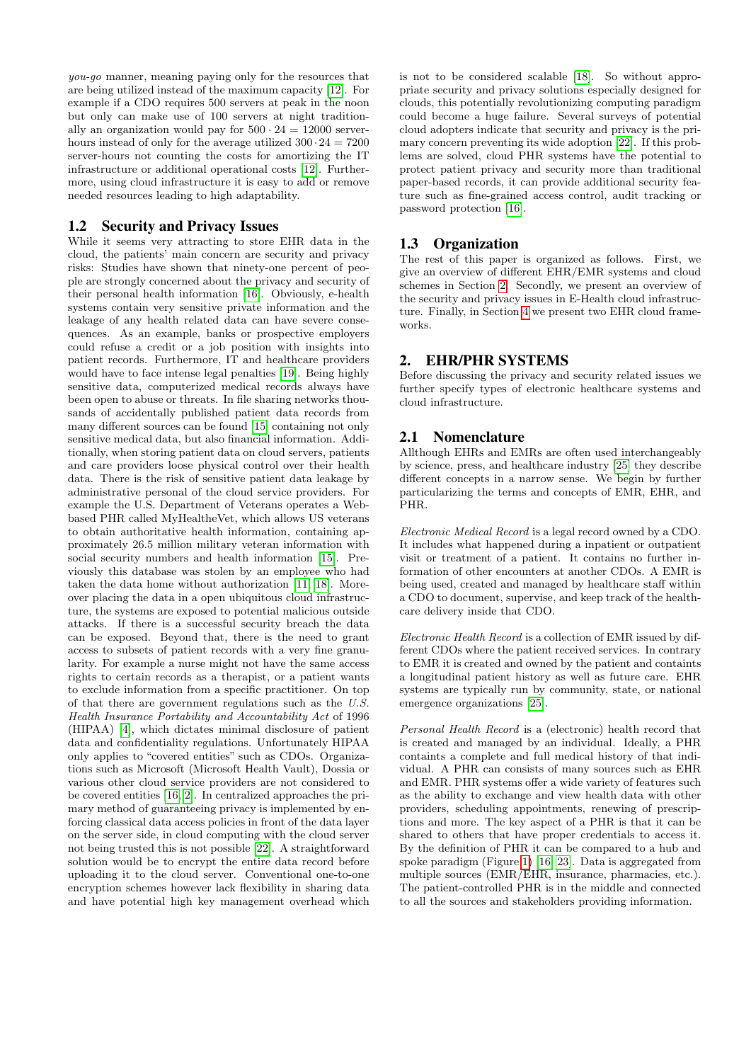you-go manner, meaning paying only for the resources that are being utilized instead of the maximum capacity [\[12\]](#page-9-7). For example if a CDO requires 500 servers at peak in the noon but only can make use of 100 servers at night traditionally an organization would pay for  $500 \cdot 24 = 12000$  serverhours instead of only for the average utilized  $300 \cdot 24 = 7200$ server-hours not counting the costs for amortizing the IT infrastructure or additional operational costs [\[12\]](#page-9-7). Furthermore, using cloud infrastructure it is easy to add or remove needed resources leading to high adaptability.

### 1.2 Security and Privacy Issues

While it seems very attracting to store EHR data in the cloud, the patients' main concern are security and privacy risks: Studies have shown that ninety-one percent of people are strongly concerned about the privacy and security of their personal health information [\[16\]](#page-9-4). Obviously, e-health systems contain very sensitive private information and the leakage of any health related data can have severe consequences. As an example, banks or prospective employers could refuse a credit or a job position with insights into patient records. Furthermore, IT and healthcare providers would have to face intense legal penalties [\[19\]](#page-9-8). Being highly sensitive data, computerized medical records always have been open to abuse or threats. In file sharing networks thousands of accidentally published patient data records from many different sources can be found [\[15\]](#page-9-9) containing not only sensitive medical data, but also financial information. Additionally, when storing patient data on cloud servers, patients and care providers loose physical control over their health data. There is the risk of sensitive patient data leakage by administrative personal of the cloud service providers. For example the U.S. Department of Veterans operates a Webbased PHR called MyHealtheVet, which allows US veterans to obtain authoritative health information, containing approximately 26.5 million military veteran information with social security numbers and health information [\[15\]](#page-9-9). Previously this database was stolen by an employee who had taken the data home without authorization [\[11,](#page-9-10) [18\]](#page-9-1). Moreover placing the data in a open ubiquitous cloud infrastructure, the systems are exposed to potential malicious outside attacks. If there is a successful security breach the data can be exposed. Beyond that, there is the need to grant access to subsets of patient records with a very fine granularity. For example a nurse might not have the same access rights to certain records as a therapist, or a patient wants to exclude information from a specific practitioner. On top of that there are government regulations such as the U.S. Health Insurance Portability and Accountability Act of 1996 (HIPAA) [\[4\]](#page-9-11), which dictates minimal disclosure of patient data and confidentiality regulations. Unfortunately HIPAA only applies to "covered entities" such as CDOs. Organizations such as Microsoft (Microsoft Health Vault), Dossia or various other cloud service providers are not considered to be covered entities [\[16,](#page-9-4) [2\]](#page-9-12). In centralized approaches the primary method of guaranteeing privacy is implemented by enforcing classical data access policies in front of the data layer on the server side, in cloud computing with the cloud server not being trusted this is not possible [\[22\]](#page-9-13). A straightforward solution would be to encrypt the entire data record before uploading it to the cloud server. Conventional one-to-one encryption schemes however lack flexibility in sharing data and have potential high key management overhead which

is not to be considered scalable [\[18\]](#page-9-1). So without appropriate security and privacy solutions especially designed for clouds, this potentially revolutionizing computing paradigm could become a huge failure. Several surveys of potential cloud adopters indicate that security and privacy is the primary concern preventing its wide adoption [\[22\]](#page-9-13). If this problems are solved, cloud PHR systems have the potential to protect patient privacy and security more than traditional paper-based records, it can provide additional security feature such as fine-grained access control, audit tracking or password protection [\[16\]](#page-9-4).

### 1.3 Organization

The rest of this paper is organized as follows. First, we give an overview of different EHR/EMR systems and cloud schemes in Section [2.](#page-1-0) Secondly, we present an overview of the security and privacy issues in E-Health cloud infrastructure. Finally, in Section [4](#page-4-0) we present two EHR cloud frameworks.

### <span id="page-1-0"></span>2. EHR/PHR SYSTEMS

Before discussing the privacy and security related issues we further specify types of electronic healthcare systems and cloud infrastructure.

### 2.1 Nomenclature

Allthough EHRs and EMRs are often used interchangeably by science, press, and healthcare industry [\[25\]](#page-9-3) they describe different concepts in a narrow sense. We begin by further particularizing the terms and concepts of EMR, EHR, and PHR.

Electronic Medical Record is a legal record owned by a CDO. It includes what happened during a inpatient or outpatient visit or treatment of a patient. It contains no further information of other encounters at another CDOs. A EMR is being used, created and managed by healthcare staff within a CDO to document, supervise, and keep track of the healthcare delivery inside that CDO.

Electronic Health Record is a collection of EMR issued by different CDOs where the patient received services. In contrary to EMR it is created and owned by the patient and containts a longitudinal patient history as well as future care. EHR systems are typically run by community, state, or national emergence organizations [\[25\]](#page-9-3).

Personal Health Record is a (electronic) health record that is created and managed by an individual. Ideally, a PHR containts a complete and full medical history of that individual. A PHR can consists of many sources such as EHR and EMR. PHR systems offer a wide variety of features such as the ability to exchange and view health data with other providers, scheduling appointments, renewing of prescriptions and more. The key aspect of a PHR is that it can be shared to others that have proper credentials to access it. By the definition of PHR it can be compared to a hub and spoke paradigm (Figure [1\)](#page-2-0) [\[16,](#page-9-4) [23\]](#page-9-14). Data is aggregated from multiple sources (EMR/EHR, insurance, pharmacies, etc.). The patient-controlled PHR is in the middle and connected to all the sources and stakeholders providing information.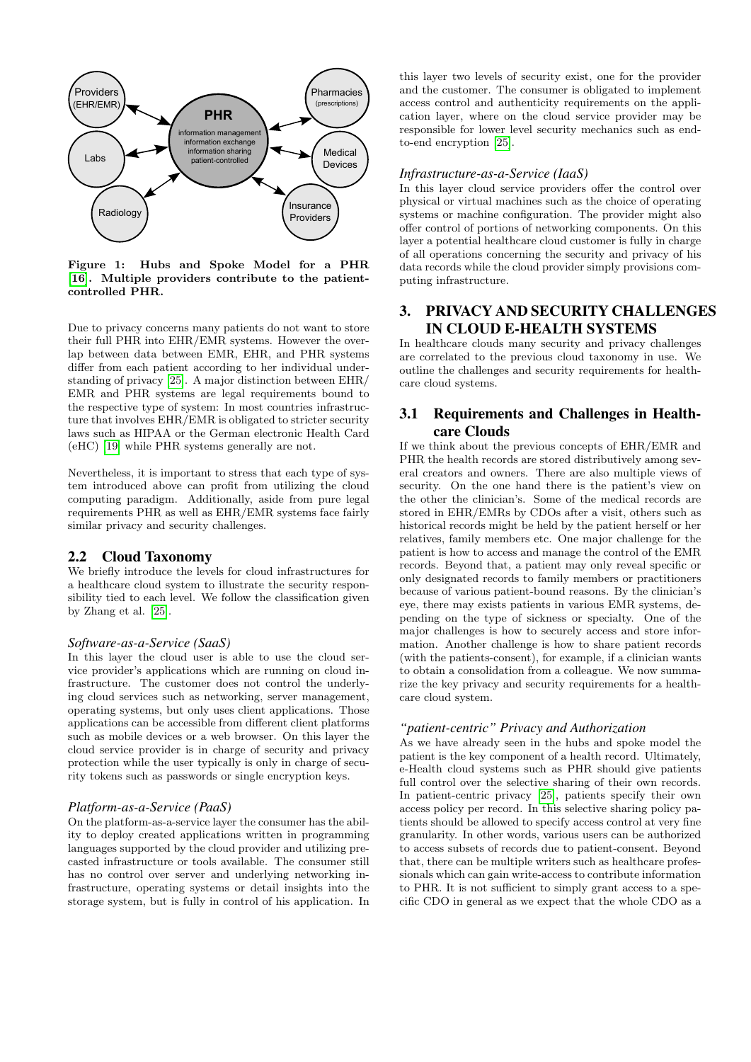

<span id="page-2-0"></span>Figure 1: Hubs and Spoke Model for a PHR [\[16\]](#page-9-4). Multiple providers contribute to the patientcontrolled PHR.

Due to privacy concerns many patients do not want to store their full PHR into EHR/EMR systems. However the overlap between data between EMR, EHR, and PHR systems differ from each patient according to her individual understanding of privacy [\[25\]](#page-9-3). A major distinction between EHR/ EMR and PHR systems are legal requirements bound to the respective type of system: In most countries infrastructure that involves EHR/EMR is obligated to stricter security laws such as HIPAA or the German electronic Health Card (eHC) [\[19\]](#page-9-8) while PHR systems generally are not.

Nevertheless, it is important to stress that each type of system introduced above can profit from utilizing the cloud computing paradigm. Additionally, aside from pure legal requirements PHR as well as EHR/EMR systems face fairly similar privacy and security challenges.

### 2.2 Cloud Taxonomy

We briefly introduce the levels for cloud infrastructures for a healthcare cloud system to illustrate the security responsibility tied to each level. We follow the classification given by Zhang et al. [\[25\]](#page-9-3).

### *Software-as-a-Service (SaaS)*

In this layer the cloud user is able to use the cloud service provider's applications which are running on cloud infrastructure. The customer does not control the underlying cloud services such as networking, server management, operating systems, but only uses client applications. Those applications can be accessible from different client platforms such as mobile devices or a web browser. On this layer the cloud service provider is in charge of security and privacy protection while the user typically is only in charge of security tokens such as passwords or single encryption keys.

### *Platform-as-a-Service (PaaS)*

On the platform-as-a-service layer the consumer has the ability to deploy created applications written in programming languages supported by the cloud provider and utilizing precasted infrastructure or tools available. The consumer still has no control over server and underlying networking infrastructure, operating systems or detail insights into the storage system, but is fully in control of his application. In

this layer two levels of security exist, one for the provider and the customer. The consumer is obligated to implement access control and authenticity requirements on the application layer, where on the cloud service provider may be responsible for lower level security mechanics such as endto-end encryption [\[25\]](#page-9-3).

#### *Infrastructure-as-a-Service (IaaS)*

In this layer cloud service providers offer the control over physical or virtual machines such as the choice of operating systems or machine configuration. The provider might also offer control of portions of networking components. On this layer a potential healthcare cloud customer is fully in charge of all operations concerning the security and privacy of his data records while the cloud provider simply provisions computing infrastructure.

# 3. PRIVACY AND SECURITY CHALLENGES IN CLOUD E-HEALTH SYSTEMS

In healthcare clouds many security and privacy challenges are correlated to the previous cloud taxonomy in use. We outline the challenges and security requirements for healthcare cloud systems.

### 3.1 Requirements and Challenges in Healthcare Clouds

If we think about the previous concepts of EHR/EMR and PHR the health records are stored distributively among several creators and owners. There are also multiple views of security. On the one hand there is the patient's view on the other the clinician's. Some of the medical records are stored in EHR/EMRs by CDOs after a visit, others such as historical records might be held by the patient herself or her relatives, family members etc. One major challenge for the patient is how to access and manage the control of the EMR records. Beyond that, a patient may only reveal specific or only designated records to family members or practitioners because of various patient-bound reasons. By the clinician's eye, there may exists patients in various EMR systems, depending on the type of sickness or specialty. One of the major challenges is how to securely access and store information. Another challenge is how to share patient records (with the patients-consent), for example, if a clinician wants to obtain a consolidation from a colleague. We now summarize the key privacy and security requirements for a healthcare cloud system.

#### *"patient-centric" Privacy and Authorization*

As we have already seen in the hubs and spoke model the patient is the key component of a health record. Ultimately, e-Health cloud systems such as PHR should give patients full control over the selective sharing of their own records. In patient-centric privacy [\[25\]](#page-9-3), patients specify their own access policy per record. In this selective sharing policy patients should be allowed to specify access control at very fine granularity. In other words, various users can be authorized to access subsets of records due to patient-consent. Beyond that, there can be multiple writers such as healthcare professionals which can gain write-access to contribute information to PHR. It is not sufficient to simply grant access to a specific CDO in general as we expect that the whole CDO as a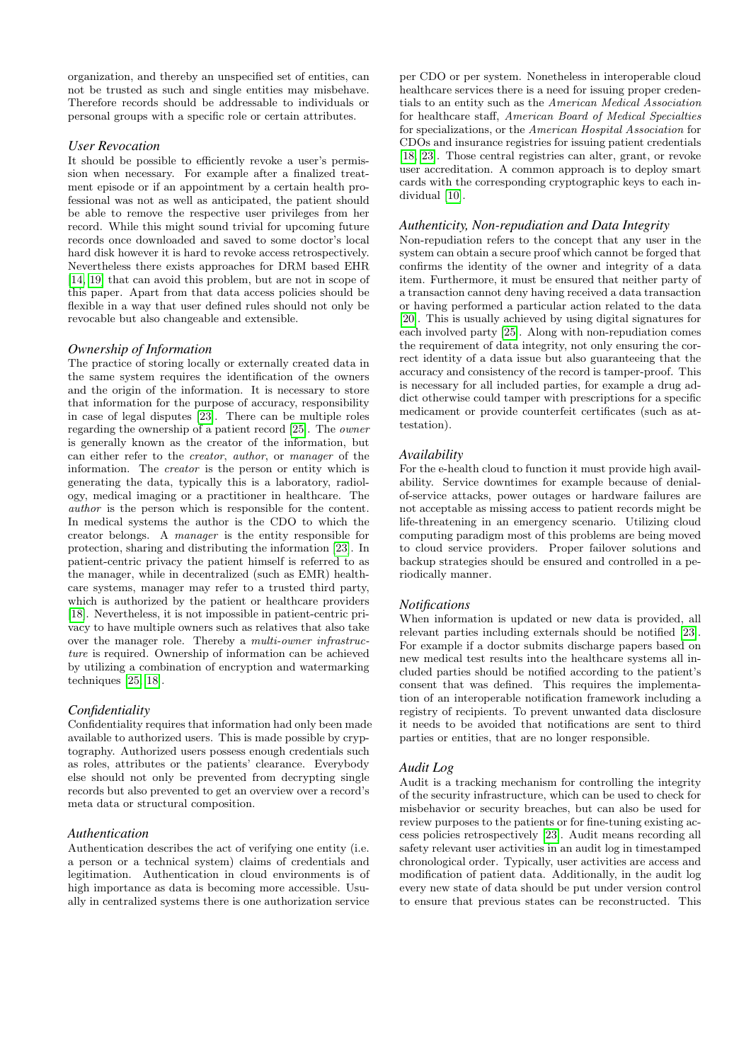organization, and thereby an unspecified set of entities, can not be trusted as such and single entities may misbehave. Therefore records should be addressable to individuals or personal groups with a specific role or certain attributes.

### *User Revocation*

It should be possible to efficiently revoke a user's permission when necessary. For example after a finalized treatment episode or if an appointment by a certain health professional was not as well as anticipated, the patient should be able to remove the respective user privileges from her record. While this might sound trivial for upcoming future records once downloaded and saved to some doctor's local hard disk however it is hard to revoke access retrospectively. Nevertheless there exists approaches for DRM based EHR [\[14,](#page-9-15) [19\]](#page-9-8) that can avoid this problem, but are not in scope of this paper. Apart from that data access policies should be flexible in a way that user defined rules should not only be revocable but also changeable and extensible.

### *Ownership of Information*

The practice of storing locally or externally created data in the same system requires the identification of the owners and the origin of the information. It is necessary to store that information for the purpose of accuracy, responsibility in case of legal disputes [\[23\]](#page-9-14). There can be multiple roles regarding the ownership of a patient record [\[25\]](#page-9-3). The owner is generally known as the creator of the information, but can either refer to the creator, author, or manager of the information. The creator is the person or entity which is generating the data, typically this is a laboratory, radiology, medical imaging or a practitioner in healthcare. The author is the person which is responsible for the content. In medical systems the author is the CDO to which the creator belongs. A manager is the entity responsible for protection, sharing and distributing the information [\[23\]](#page-9-14). In patient-centric privacy the patient himself is referred to as the manager, while in decentralized (such as EMR) healthcare systems, manager may refer to a trusted third party, which is authorized by the patient or healthcare providers [\[18\]](#page-9-1). Nevertheless, it is not impossible in patient-centric privacy to have multiple owners such as relatives that also take over the manager role. Thereby a multi-owner infrastructure is required. Ownership of information can be achieved by utilizing a combination of encryption and watermarking techniques [\[25,](#page-9-3) [18\]](#page-9-1).

### *Confidentiality*

Confidentiality requires that information had only been made available to authorized users. This is made possible by cryptography. Authorized users possess enough credentials such as roles, attributes or the patients' clearance. Everybody else should not only be prevented from decrypting single records but also prevented to get an overview over a record's meta data or structural composition.

### *Authentication*

Authentication describes the act of verifying one entity (i.e. a person or a technical system) claims of credentials and legitimation. Authentication in cloud environments is of high importance as data is becoming more accessible. Usually in centralized systems there is one authorization service

per CDO or per system. Nonetheless in interoperable cloud healthcare services there is a need for issuing proper credentials to an entity such as the American Medical Association for healthcare staff, American Board of Medical Specialties for specializations, or the American Hospital Association for CDOs and insurance registries for issuing patient credentials [\[18,](#page-9-1) [23\]](#page-9-14). Those central registries can alter, grant, or revoke user accreditation. A common approach is to deploy smart cards with the corresponding cryptographic keys to each individual [\[10\]](#page-9-16).

### *Authenticity, Non-repudiation and Data Integrity*

Non-repudiation refers to the concept that any user in the system can obtain a secure proof which cannot be forged that confirms the identity of the owner and integrity of a data item. Furthermore, it must be ensured that neither party of a transaction cannot deny having received a data transaction or having performed a particular action related to the data [\[20\]](#page-9-17). This is usually achieved by using digital signatures for each involved party [\[25\]](#page-9-3). Along with non-repudiation comes the requirement of data integrity, not only ensuring the correct identity of a data issue but also guaranteeing that the accuracy and consistency of the record is tamper-proof. This is necessary for all included parties, for example a drug addict otherwise could tamper with prescriptions for a specific medicament or provide counterfeit certificates (such as attestation).

### *Availability*

For the e-health cloud to function it must provide high availability. Service downtimes for example because of denialof-service attacks, power outages or hardware failures are not acceptable as missing access to patient records might be life-threatening in an emergency scenario. Utilizing cloud computing paradigm most of this problems are being moved to cloud service providers. Proper failover solutions and backup strategies should be ensured and controlled in a periodically manner.

### *Notifications*

When information is updated or new data is provided, all relevant parties including externals should be notified [\[23\]](#page-9-14). For example if a doctor submits discharge papers based on new medical test results into the healthcare systems all included parties should be notified according to the patient's consent that was defined. This requires the implementation of an interoperable notification framework including a registry of recipients. To prevent unwanted data disclosure it needs to be avoided that notifications are sent to third parties or entities, that are no longer responsible.

### *Audit Log*

Audit is a tracking mechanism for controlling the integrity of the security infrastructure, which can be used to check for misbehavior or security breaches, but can also be used for review purposes to the patients or for fine-tuning existing access policies retrospectively [\[23\]](#page-9-14). Audit means recording all safety relevant user activities in an audit log in timestamped chronological order. Typically, user activities are access and modification of patient data. Additionally, in the audit log every new state of data should be put under version control to ensure that previous states can be reconstructed. This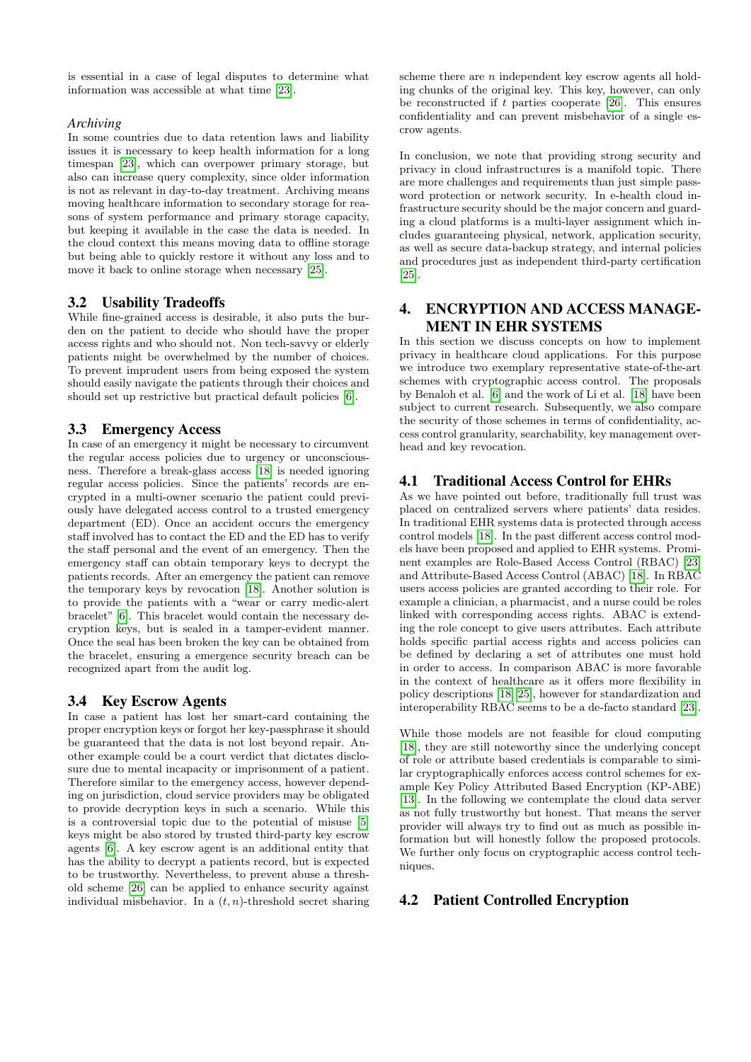is essential in a case of legal disputes to determine what information was accessible at what time [\[23\]](#page-9-14).

### *Archiving*

In some countries due to data retention laws and liability issues it is necessary to keep health information for a long timespan [\[23\]](#page-9-14), which can overpower primary storage, but also can increase query complexity, since older information is not as relevant in day-to-day treatment. Archiving means moving healthcare information to secondary storage for reasons of system performance and primary storage capacity, but keeping it available in the case the data is needed. In the cloud context this means moving data to offline storage but being able to quickly restore it without any loss and to move it back to online storage when necessary [\[25\]](#page-9-3).

### 3.2 Usability Tradeoffs

While fine-grained access is desirable, it also puts the burden on the patient to decide who should have the proper access rights and who should not. Non tech-savvy or elderly patients might be overwhelmed by the number of choices. To prevent imprudent users from being exposed the system should easily navigate the patients through their choices and should set up restrictive but practical default policies [\[6\]](#page-9-0).

# 3.3 Emergency Access

In case of an emergency it might be necessary to circumvent the regular access policies due to urgency or unconsciousness. Therefore a break-glass access [\[18\]](#page-9-1) is needed ignoring regular access policies. Since the patients' records are encrypted in a multi-owner scenario the patient could previously have delegated access control to a trusted emergency department (ED). Once an accident occurs the emergency staff involved has to contact the ED and the ED has to verify the staff personal and the event of an emergency. Then the emergency staff can obtain temporary keys to decrypt the patients records. After an emergency the patient can remove the temporary keys by revocation [\[18\]](#page-9-1). Another solution is to provide the patients with a "wear or carry medic-alert bracelet" [\[6\]](#page-9-0). This bracelet would contain the necessary decryption keys, but is sealed in a tamper-evident manner. Once the seal has been broken the key can be obtained from the bracelet, ensuring a emergence security breach can be recognized apart from the audit log.

# 3.4 Key Escrow Agents

In case a patient has lost her smart-card containing the proper encryption keys or forgot her key-passphrase it should be guaranteed that the data is not lost beyond repair. Another example could be a court verdict that dictates disclosure due to mental incapacity or imprisonment of a patient. Therefore similar to the emergency access, however depending on jurisdiction, cloud service providers may be obligated to provide decryption keys in such a scenario. While this is a controversial topic due to the potential of misuse [\[5\]](#page-9-18) keys might be also stored by trusted third-party key escrow agents [\[6\]](#page-9-0). A key escrow agent is an additional entity that has the ability to decrypt a patients record, but is expected to be trustworthy. Nevertheless, to prevent abuse a threshold scheme [\[26\]](#page-9-19) can be applied to enhance security against individual misbehavior. In a  $(t, n)$ -threshold secret sharing

scheme there are  $n$  independent key escrow agents all holding chunks of the original key. This key, however, can only be reconstructed if  $t$  parties cooperate [\[26\]](#page-9-19). This ensures confidentiality and can prevent misbehavior of a single escrow agents.

In conclusion, we note that providing strong security and privacy in cloud infrastructures is a manifold topic. There are more challenges and requirements than just simple password protection or network security. In e-health cloud infrastructure security should be the major concern and guarding a cloud platforms is a multi-layer assignment which includes guaranteeing physical, network, application security, as well as secure data-backup strategy, and internal policies and procedures just as independent third-party certification [\[25\]](#page-9-3).

# <span id="page-4-0"></span>4. ENCRYPTION AND ACCESS MANAGE-MENT IN EHR SYSTEMS

In this section we discuss concepts on how to implement privacy in healthcare cloud applications. For this purpose we introduce two exemplary representative state-of-the-art schemes with cryptographic access control. The proposals by Benaloh et al. [\[6\]](#page-9-0) and the work of Li et al. [\[18\]](#page-9-1) have been subject to current research. Subsequently, we also compare the security of those schemes in terms of confidentiality, access control granularity, searchability, key management overhead and key revocation.

### 4.1 Traditional Access Control for EHRs

As we have pointed out before, traditionally full trust was placed on centralized servers where patients' data resides. In traditional EHR systems data is protected through access control models [\[18\]](#page-9-1). In the past different access control models have been proposed and applied to EHR systems. Prominent examples are Role-Based Access Control (RBAC) [\[23\]](#page-9-14) and Attribute-Based Access Control (ABAC) [\[18\]](#page-9-1). In RBAC users access policies are granted according to their role. For example a clinician, a pharmacist, and a nurse could be roles linked with corresponding access rights. ABAC is extending the role concept to give users attributes. Each attribute holds specific partial access rights and access policies can be defined by declaring a set of attributes one must hold in order to access. In comparison ABAC is more favorable in the context of healthcare as it offers more flexibility in policy descriptions [\[18,](#page-9-1) [25\]](#page-9-3), however for standardization and interoperability RBAC seems to be a de-facto standard [\[23\]](#page-9-14).

While those models are not feasible for cloud computing [\[18\]](#page-9-1), they are still noteworthy since the underlying concept of role or attribute based credentials is comparable to similar cryptographically enforces access control schemes for example Key Policy Attributed Based Encryption (KP-ABE) [\[13\]](#page-9-20). In the following we contemplate the cloud data server as not fully trustworthy but honest. That means the server provider will always try to find out as much as possible information but will honestly follow the proposed protocols. We further only focus on cryptographic access control techniques.

# 4.2 Patient Controlled Encryption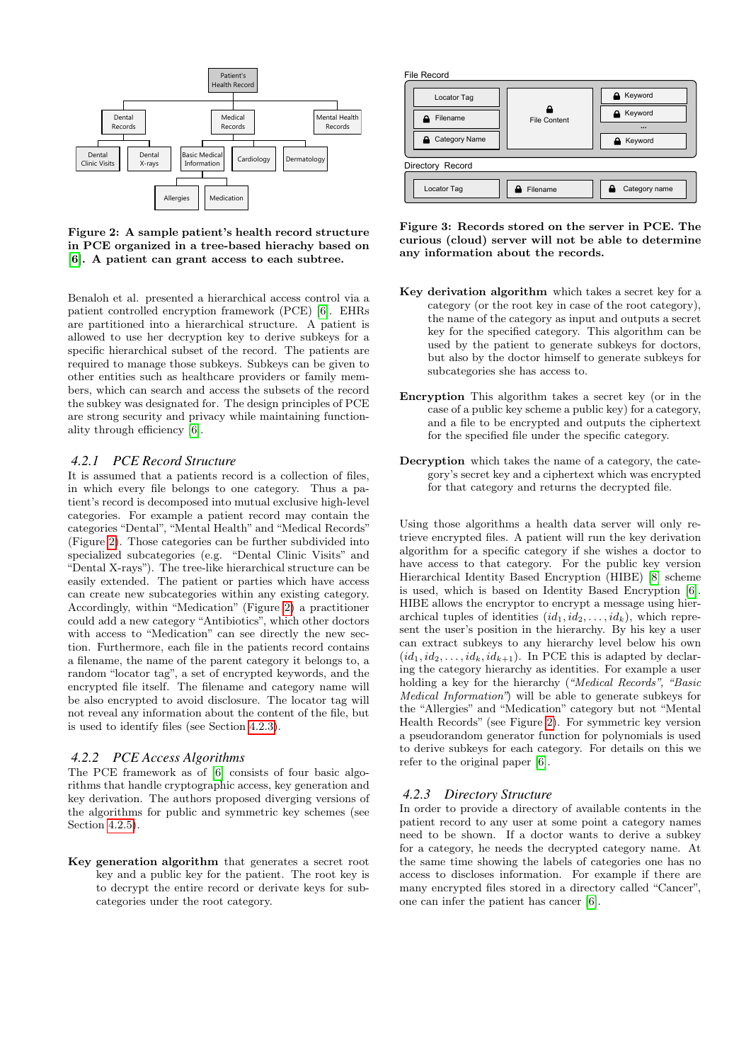

<span id="page-5-0"></span>Figure 2: A sample patient's health record structure in PCE organized in a tree-based hierachy based on [\[6\]](#page-9-0). A patient can grant access to each subtree.

Benaloh et al. presented a hierarchical access control via a patient controlled encryption framework (PCE) [\[6\]](#page-9-0). EHRs are partitioned into a hierarchical structure. A patient is allowed to use her decryption key to derive subkeys for a specific hierarchical subset of the record. The patients are required to manage those subkeys. Subkeys can be given to other entities such as healthcare providers or family members, which can search and access the subsets of the record the subkey was designated for. The design principles of PCE are strong security and privacy while maintaining functionality through efficiency [\[6\]](#page-9-0).

### *4.2.1 PCE Record Structure*

It is assumed that a patients record is a collection of files, in which every file belongs to one category. Thus a patient's record is decomposed into mutual exclusive high-level categories. For example a patient record may contain the categories "Dental", "Mental Health" and "Medical Records" (Figure [2\)](#page-5-0). Those categories can be further subdivided into specialized subcategories (e.g. "Dental Clinic Visits" and "Dental X-rays"). The tree-like hierarchical structure can be easily extended. The patient or parties which have access can create new subcategories within any existing category. Accordingly, within "Medication" (Figure [2\)](#page-5-0) a practitioner could add a new category "Antibiotics", which other doctors with access to "Medication" can see directly the new section. Furthermore, each file in the patients record contains a filename, the name of the parent category it belongs to, a random "locator tag", a set of encrypted keywords, and the encrypted file itself. The filename and category name will be also encrypted to avoid disclosure. The locator tag will not reveal any information about the content of the file, but is used to identify files (see Section [4.2.3\)](#page-5-1).

#### <span id="page-5-2"></span>*4.2.2 PCE Access Algorithms*

The PCE framework as of [\[6\]](#page-9-0) consists of four basic algorithms that handle cryptographic access, key generation and key derivation. The authors proposed diverging versions of the algorithms for public and symmetric key schemes (see Section [4.2.5\)](#page-6-0).

Key generation algorithm that generates a secret root key and a public key for the patient. The root key is to decrypt the entire record or derivate keys for subcategories under the root category.

File Record



<span id="page-5-1"></span>Figure 3: Records stored on the server in PCE. The curious (cloud) server will not be able to determine any information about the records.

- Key derivation algorithm which takes a secret key for a category (or the root key in case of the root category), the name of the category as input and outputs a secret key for the specified category. This algorithm can be used by the patient to generate subkeys for doctors, but also by the doctor himself to generate subkeys for subcategories she has access to.
- Encryption This algorithm takes a secret key (or in the case of a public key scheme a public key) for a category, and a file to be encrypted and outputs the ciphertext for the specified file under the specific category.
- Decryption which takes the name of a category, the category's secret key and a ciphertext which was encrypted for that category and returns the decrypted file.

Using those algorithms a health data server will only retrieve encrypted files. A patient will run the key derivation algorithm for a specific category if she wishes a doctor to have access to that category. For the public key version Hierarchical Identity Based Encryption (HIBE) [\[8\]](#page-9-21) scheme is used, which is based on Identity Based Encryption [\[6\]](#page-9-0). HIBE allows the encryptor to encrypt a message using hierarchical tuples of identities  $(id_1, id_2, \ldots, id_k)$ , which represent the user's position in the hierarchy. By his key a user can extract subkeys to any hierarchy level below his own  $(id_1, id_2, \ldots, id_k, id_{k+1})$ . In PCE this is adapted by declaring the category hierarchy as identities. For example a user holding a key for the hierarchy ("Medical Records", "Basic Medical Information") will be able to generate subkeys for the "Allergies" and "Medication" category but not "Mental Health Records" (see Figure [2\)](#page-5-0). For symmetric key version a pseudorandom generator function for polynomials is used to derive subkeys for each category. For details on this we refer to the original paper [\[6\]](#page-9-0).

#### *4.2.3 Directory Structure*

In order to provide a directory of available contents in the patient record to any user at some point a category names need to be shown. If a doctor wants to derive a subkey for a category, he needs the decrypted category name. At the same time showing the labels of categories one has no access to discloses information. For example if there are many encrypted files stored in a directory called "Cancer", one can infer the patient has cancer [\[6\]](#page-9-0).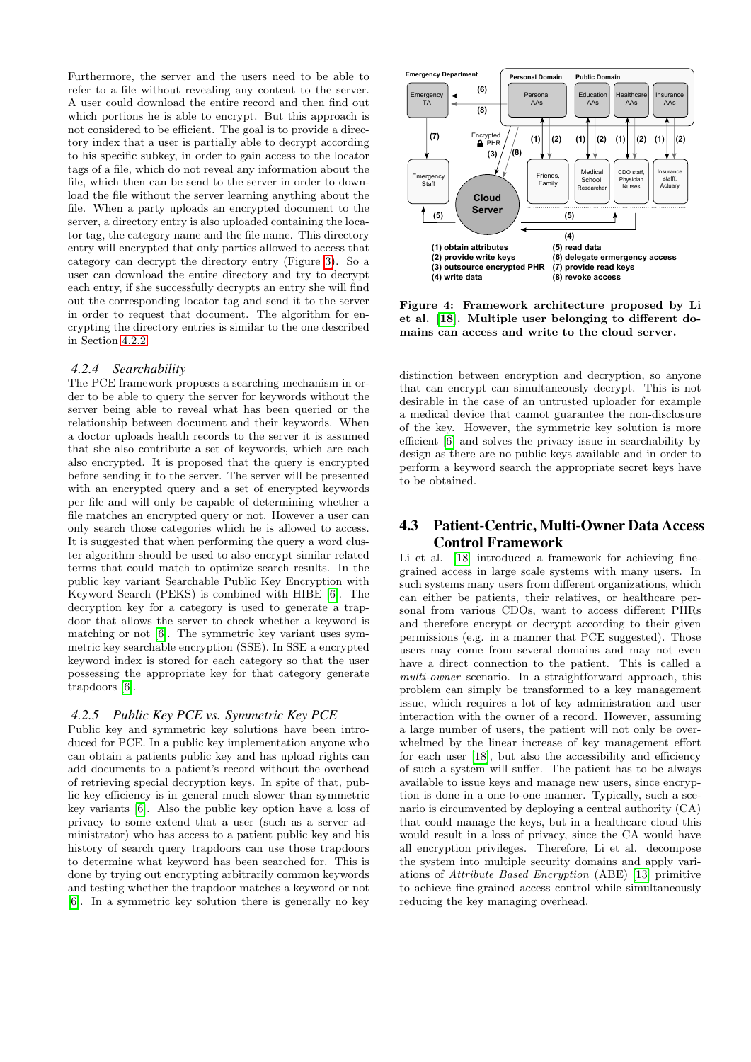Furthermore, the server and the users need to be able to refer to a file without revealing any content to the server. A user could download the entire record and then find out which portions he is able to encrypt. But this approach is not considered to be efficient. The goal is to provide a directory index that a user is partially able to decrypt according to his specific subkey, in order to gain access to the locator tags of a file, which do not reveal any information about the file, which then can be send to the server in order to download the file without the server learning anything about the file. When a party uploads an encrypted document to the server, a directory entry is also uploaded containing the locator tag, the category name and the file name. This directory entry will encrypted that only parties allowed to access that category can decrypt the directory entry (Figure [3\)](#page-5-1). So a user can download the entire directory and try to decrypt each entry, if she successfully decrypts an entry she will find out the corresponding locator tag and send it to the server in order to request that document. The algorithm for encrypting the directory entries is similar to the one described in Section [4.2.2.](#page-5-2)

### *4.2.4 Searchability*

The PCE framework proposes a searching mechanism in order to be able to query the server for keywords without the server being able to reveal what has been queried or the relationship between document and their keywords. When a doctor uploads health records to the server it is assumed that she also contribute a set of keywords, which are each also encrypted. It is proposed that the query is encrypted before sending it to the server. The server will be presented with an encrypted query and a set of encrypted keywords per file and will only be capable of determining whether a file matches an encrypted query or not. However a user can only search those categories which he is allowed to access. It is suggested that when performing the query a word cluster algorithm should be used to also encrypt similar related terms that could match to optimize search results. In the public key variant Searchable Public Key Encryption with Keyword Search (PEKS) is combined with HIBE [\[6\]](#page-9-0). The decryption key for a category is used to generate a trapdoor that allows the server to check whether a keyword is matching or not [\[6\]](#page-9-0). The symmetric key variant uses symmetric key searchable encryption (SSE). In SSE a encrypted keyword index is stored for each category so that the user possessing the appropriate key for that category generate trapdoors [\[6\]](#page-9-0).

### <span id="page-6-0"></span>*4.2.5 Public Key PCE vs. Symmetric Key PCE*

Public key and symmetric key solutions have been introduced for PCE. In a public key implementation anyone who can obtain a patients public key and has upload rights can add documents to a patient's record without the overhead of retrieving special decryption keys. In spite of that, public key efficiency is in general much slower than symmetric key variants [\[6\]](#page-9-0). Also the public key option have a loss of privacy to some extend that a user (such as a server administrator) who has access to a patient public key and his history of search query trapdoors can use those trapdoors to determine what keyword has been searched for. This is done by trying out encrypting arbitrarily common keywords and testing whether the trapdoor matches a keyword or not [\[6\]](#page-9-0). In a symmetric key solution there is generally no key



<span id="page-6-1"></span>Figure 4: Framework architecture proposed by Li et al. [\[18\]](#page-9-1). Multiple user belonging to different domains can access and write to the cloud server.

distinction between encryption and decryption, so anyone that can encrypt can simultaneously decrypt. This is not desirable in the case of an untrusted uploader for example a medical device that cannot guarantee the non-disclosure of the key. However, the symmetric key solution is more efficient [\[6\]](#page-9-0) and solves the privacy issue in searchability by design as there are no public keys available and in order to perform a keyword search the appropriate secret keys have to be obtained.

# 4.3 Patient-Centric, Multi-Owner Data Access Control Framework

Li et al. [\[18\]](#page-9-1) introduced a framework for achieving finegrained access in large scale systems with many users. In such systems many users from different organizations, which can either be patients, their relatives, or healthcare personal from various CDOs, want to access different PHRs and therefore encrypt or decrypt according to their given permissions (e.g. in a manner that PCE suggested). Those users may come from several domains and may not even have a direct connection to the patient. This is called a multi-owner scenario. In a straightforward approach, this problem can simply be transformed to a key management issue, which requires a lot of key administration and user interaction with the owner of a record. However, assuming a large number of users, the patient will not only be overwhelmed by the linear increase of key management effort for each user [\[18\]](#page-9-1), but also the accessibility and efficiency of such a system will suffer. The patient has to be always available to issue keys and manage new users, since encryption is done in a one-to-one manner. Typically, such a scenario is circumvented by deploying a central authority (CA) that could manage the keys, but in a healthcare cloud this would result in a loss of privacy, since the CA would have all encryption privileges. Therefore, Li et al. decompose the system into multiple security domains and apply variations of Attribute Based Encryption (ABE) [\[13\]](#page-9-20) primitive to achieve fine-grained access control while simultaneously reducing the key managing overhead.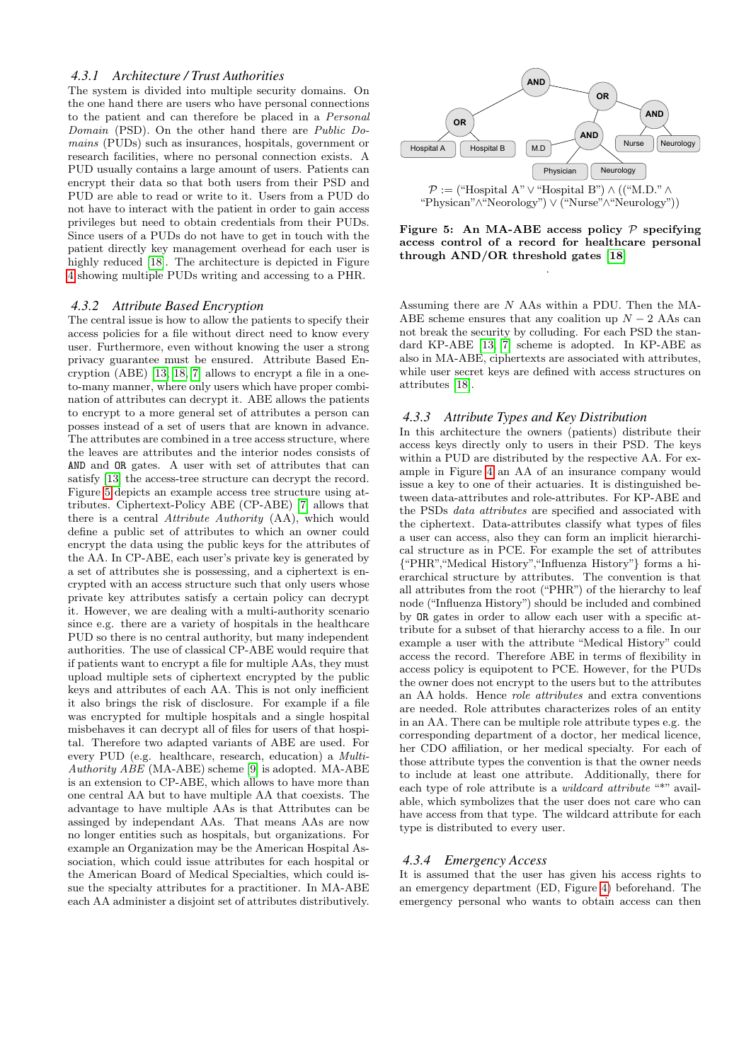### *4.3.1 Architecture / Trust Authorities*

The system is divided into multiple security domains. On the one hand there are users who have personal connections to the patient and can therefore be placed in a Personal Domain (PSD). On the other hand there are Public Domains (PUDs) such as insurances, hospitals, government or research facilities, where no personal connection exists. A PUD usually contains a large amount of users. Patients can encrypt their data so that both users from their PSD and PUD are able to read or write to it. Users from a PUD do not have to interact with the patient in order to gain access privileges but need to obtain credentials from their PUDs. Since users of a PUDs do not have to get in touch with the patient directly key management overhead for each user is highly reduced [\[18\]](#page-9-1). The architecture is depicted in Figure [4](#page-6-1) showing multiple PUDs writing and accessing to a PHR.

#### *4.3.2 Attribute Based Encryption*

The central issue is how to allow the patients to specify their access policies for a file without direct need to know every user. Furthermore, even without knowing the user a strong privacy guarantee must be ensured. Attribute Based Encryption (ABE) [\[13,](#page-9-20) [18,](#page-9-1) [7\]](#page-9-22) allows to encrypt a file in a oneto-many manner, where only users which have proper combination of attributes can decrypt it. ABE allows the patients to encrypt to a more general set of attributes a person can posses instead of a set of users that are known in advance. The attributes are combined in a tree access structure, where the leaves are attributes and the interior nodes consists of AND and OR gates. A user with set of attributes that can satisfy [\[13\]](#page-9-20) the access-tree structure can decrypt the record. Figure [5](#page-7-0) depicts an example access tree structure using attributes. Ciphertext-Policy ABE (CP-ABE) [\[7\]](#page-9-22) allows that there is a central Attribute Authority (AA), which would define a public set of attributes to which an owner could encrypt the data using the public keys for the attributes of the AA. In CP-ABE, each user's private key is generated by a set of attributes she is possessing, and a ciphertext is encrypted with an access structure such that only users whose private key attributes satisfy a certain policy can decrypt it. However, we are dealing with a multi-authority scenario since e.g. there are a variety of hospitals in the healthcare PUD so there is no central authority, but many independent authorities. The use of classical CP-ABE would require that if patients want to encrypt a file for multiple AAs, they must upload multiple sets of ciphertext encrypted by the public keys and attributes of each AA. This is not only inefficient it also brings the risk of disclosure. For example if a file was encrypted for multiple hospitals and a single hospital misbehaves it can decrypt all of files for users of that hospital. Therefore two adapted variants of ABE are used. For every PUD (e.g. healthcare, research, education) a Multi-Authority ABE (MA-ABE) scheme [\[9\]](#page-9-23) is adopted. MA-ABE is an extension to CP-ABE, which allows to have more than one central AA but to have multiple AA that coexists. The advantage to have multiple AAs is that Attributes can be assinged by independant AAs. That means AAs are now no longer entities such as hospitals, but organizations. For example an Organization may be the American Hospital Association, which could issue attributes for each hospital or the American Board of Medical Specialties, which could issue the specialty attributes for a practitioner. In MA-ABE each AA administer a disjoint set of attributes distributively.



<span id="page-7-0"></span>Figure 5: An MA-ABE access policy  $P$  specifying access control of a record for healthcare personal through AND/OR threshold gates [\[18\]](#page-9-1)

.

Assuming there are N AAs within a PDU. Then the MA-ABE scheme ensures that any coalition up  $N-2$  AAs can not break the security by colluding. For each PSD the standard KP-ABE [\[13,](#page-9-20) [7\]](#page-9-22) scheme is adopted. In KP-ABE as also in MA-ABE, ciphertexts are associated with attributes, while user secret keys are defined with access structures on attributes [\[18\]](#page-9-1).

#### *4.3.3 Attribute Types and Key Distribution*

In this architecture the owners (patients) distribute their access keys directly only to users in their PSD. The keys within a PUD are distributed by the respective AA. For example in Figure [4](#page-6-1) an AA of an insurance company would issue a key to one of their actuaries. It is distinguished between data-attributes and role-attributes. For KP-ABE and the PSDs data attributes are specified and associated with the ciphertext. Data-attributes classify what types of files a user can access, also they can form an implicit hierarchical structure as in PCE. For example the set of attributes {"PHR","Medical History","Influenza History"} forms a hierarchical structure by attributes. The convention is that all attributes from the root ("PHR") of the hierarchy to leaf node ("Influenza History") should be included and combined by OR gates in order to allow each user with a specific attribute for a subset of that hierarchy access to a file. In our example a user with the attribute "Medical History" could access the record. Therefore ABE in terms of flexibility in access policy is equipotent to PCE. However, for the PUDs the owner does not encrypt to the users but to the attributes an AA holds. Hence role attributes and extra conventions are needed. Role attributes characterizes roles of an entity in an AA. There can be multiple role attribute types e.g. the corresponding department of a doctor, her medical licence, her CDO affiliation, or her medical specialty. For each of those attribute types the convention is that the owner needs to include at least one attribute. Additionally, there for each type of role attribute is a *wildcard attribute* "\*" available, which symbolizes that the user does not care who can have access from that type. The wildcard attribute for each type is distributed to every user.

#### *4.3.4 Emergency Access*

It is assumed that the user has given his access rights to an emergency department (ED, Figure [4\)](#page-6-1) beforehand. The emergency personal who wants to obtain access can then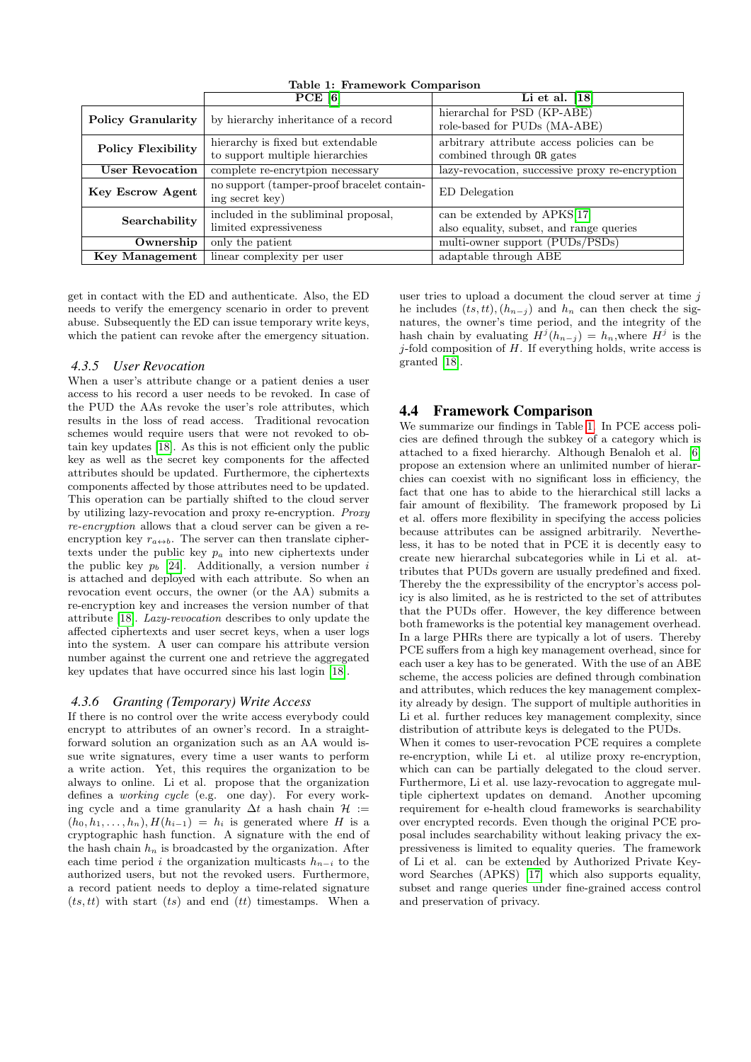|                           | PCE [6]                                                              | Li et al. $[18]$                                                        |
|---------------------------|----------------------------------------------------------------------|-------------------------------------------------------------------------|
| <b>Policy Granularity</b> | by hierarchy inheritance of a record                                 | hierarchal for PSD (KP-ABE)<br>role-based for PUDs (MA-ABE)             |
| <b>Policy Flexibility</b> | hierarchy is fixed but extendable<br>to support multiple hierarchies | arbitrary attribute access policies can be<br>combined through OR gates |
| <b>User Revocation</b>    | complete re-encrytpion necessary                                     | lazy-revocation, successive proxy re-encryption                         |
| Key Escrow Agent          | no support (tamper-proof bracelet contain-<br>ing secret key)        | ED Delegation                                                           |
| Searchability             | included in the subliminal proposal,<br>limited expressiveness       | can be extended by APKS[17]<br>also equality, subset, and range queries |
| Ownership                 | only the patient                                                     | multi-owner support (PUDs/PSDs)                                         |
|                           |                                                                      |                                                                         |
| <b>Key Management</b>     | linear complexity per user                                           | adaptable through ABE                                                   |

<span id="page-8-0"></span>Table 1: Framework Comparison

get in contact with the ED and authenticate. Also, the ED needs to verify the emergency scenario in order to prevent abuse. Subsequently the ED can issue temporary write keys, which the patient can revoke after the emergency situation.

### *4.3.5 User Revocation*

When a user's attribute change or a patient denies a user access to his record a user needs to be revoked. In case of the PUD the AAs revoke the user's role attributes, which results in the loss of read access. Traditional revocation schemes would require users that were not revoked to obtain key updates [\[18\]](#page-9-1). As this is not efficient only the public key as well as the secret key components for the affected attributes should be updated. Furthermore, the ciphertexts components affected by those attributes need to be updated. This operation can be partially shifted to the cloud server by utilizing lazy-revocation and proxy re-encryption. Proxy re-encryption allows that a cloud server can be given a reencryption key  $r_{a\leftrightarrow b}$ . The server can then translate ciphertexts under the public key  $p_a$  into new ciphertexts under the public key  $p_b$  [\[24\]](#page-9-25). Additionally, a version number i is attached and deployed with each attribute. So when an revocation event occurs, the owner (or the AA) submits a re-encryption key and increases the version number of that attribute [\[18\]](#page-9-1). Lazy-revocation describes to only update the affected ciphertexts and user secret keys, when a user logs into the system. A user can compare his attribute version number against the current one and retrieve the aggregated key updates that have occurred since his last login [\[18\]](#page-9-1).

#### *4.3.6 Granting (Temporary) Write Access*

If there is no control over the write access everybody could encrypt to attributes of an owner's record. In a straightforward solution an organization such as an AA would issue write signatures, every time a user wants to perform a write action. Yet, this requires the organization to be always to online. Li et al. propose that the organization defines a working cycle (e.g. one day). For every working cycle and a time granularity  $\Delta t$  a hash chain  $\mathcal{H}$  :=  $(h_0, h_1, \ldots, h_n), H(h_{i-1}) = h_i$  is generated where H is a cryptographic hash function. A signature with the end of the hash chain  $h_n$  is broadcasted by the organization. After each time period *i* the organization multicasts  $h_{n-i}$  to the authorized users, but not the revoked users. Furthermore, a record patient needs to deploy a time-related signature  $(ts, tt)$  with start  $(ts)$  and end  $(tt)$  timestamps. When a

user tries to upload a document the cloud server at time  $j$ he includes  $(ts, tt), (h_{n-j})$  and  $h_n$  can then check the signatures, the owner's time period, and the integrity of the hash chain by evaluating  $H^j(h_{n-j}) = h_n$ , where  $H^j$  is the  $j$ -fold composition of  $H$ . If everything holds, write access is granted [\[18\]](#page-9-1).

### 4.4 Framework Comparison

We summarize our findings in Table [1.](#page-8-0) In PCE access policies are defined through the subkey of a category which is attached to a fixed hierarchy. Although Benaloh et al. [\[6\]](#page-9-0) propose an extension where an unlimited number of hierarchies can coexist with no significant loss in efficiency, the fact that one has to abide to the hierarchical still lacks a fair amount of flexibility. The framework proposed by Li et al. offers more flexibility in specifying the access policies because attributes can be assigned arbitrarily. Nevertheless, it has to be noted that in PCE it is decently easy to create new hierarchal subcategories while in Li et al. attributes that PUDs govern are usually predefined and fixed. Thereby the the expressibility of the encryptor's access policy is also limited, as he is restricted to the set of attributes that the PUDs offer. However, the key difference between both frameworks is the potential key management overhead. In a large PHRs there are typically a lot of users. Thereby PCE suffers from a high key management overhead, since for each user a key has to be generated. With the use of an ABE scheme, the access policies are defined through combination and attributes, which reduces the key management complexity already by design. The support of multiple authorities in Li et al. further reduces key management complexity, since distribution of attribute keys is delegated to the PUDs.

When it comes to user-revocation PCE requires a complete re-encryption, while Li et. al utilize proxy re-encryption, which can can be partially delegated to the cloud server. Furthermore, Li et al. use lazy-revocation to aggregate multiple ciphertext updates on demand. Another upcoming requirement for e-health cloud frameworks is searchability over encrypted records. Even though the original PCE proposal includes searchability without leaking privacy the expressiveness is limited to equality queries. The framework of Li et al. can be extended by Authorized Private Keyword Searches (APKS) [\[17\]](#page-9-24) which also supports equality, subset and range queries under fine-grained access control and preservation of privacy.